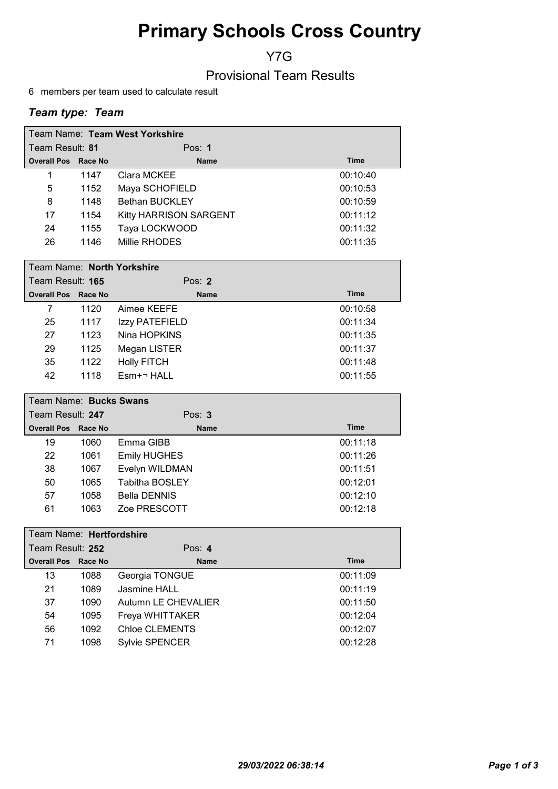# Primary Schools Cross Country

Y7G

### Provisional Team Results

6 members per team used to calculate result

### Team type: Team

| Team Name: Team West Yorkshire |      |                               |             |  |
|--------------------------------|------|-------------------------------|-------------|--|
| Team Result: 81                |      | Pos: $1$                      |             |  |
| <b>Overall Pos Race No</b>     |      | <b>Name</b>                   | <b>Time</b> |  |
| 1                              | 1147 | Clara MCKEE                   | 00:10:40    |  |
| 5                              | 1152 | Maya SCHOFIELD                | 00:10:53    |  |
| 8                              | 1148 | <b>Bethan BUCKLEY</b>         | 00:10:59    |  |
| 17                             | 1154 | <b>Kitty HARRISON SARGENT</b> | 00:11:12    |  |
| 24                             | 1155 | Taya LOCKWOOD                 | 00:11:32    |  |
| 26                             | 1146 | Millie RHODES                 | 00:11:35    |  |

| Team Name: North Yorkshire |      |                     |             |  |
|----------------------------|------|---------------------|-------------|--|
| Team Result: 165           |      | Pos: $2$            |             |  |
| <b>Overall Pos Race No</b> |      | <b>Name</b>         | <b>Time</b> |  |
| 7                          | 1120 | Aimee KEEFE         | 00:10:58    |  |
| 25                         | 1117 | Izzy PATEFIELD      | 00:11:34    |  |
| 27                         | 1123 | Nina HOPKINS        | 00:11:35    |  |
| 29                         | 1125 | Megan LISTER        | 00:11:37    |  |
| 35                         | 1122 | <b>Holly FITCH</b>  | 00:11:48    |  |
| 42                         | 1118 | $E$ sm+ $\neg$ HALL | 00:11:55    |  |

| Team Name: Bucks Swans     |      |                       |             |  |
|----------------------------|------|-----------------------|-------------|--|
| Team Result: 247           |      | Pos: $3$              |             |  |
| <b>Overall Pos Race No</b> |      | <b>Name</b>           | <b>Time</b> |  |
| 19                         | 1060 | Emma GIBB             | 00:11:18    |  |
| 22                         | 1061 | <b>Emily HUGHES</b>   | 00:11:26    |  |
| 38                         | 1067 | Evelyn WILDMAN        | 00:11:51    |  |
| 50                         | 1065 | <b>Tabitha BOSLEY</b> | 00:12:01    |  |
| 57                         | 1058 | <b>Bella DENNIS</b>   | 00:12:10    |  |
| 61                         | 1063 | Zoe PRESCOTT          | 00:12:18    |  |

|                  | Team Name: Hertfordshire   |      |                       |             |  |
|------------------|----------------------------|------|-----------------------|-------------|--|
| Team Result: 252 |                            |      | Pos: $4$              |             |  |
|                  | <b>Overall Pos Race No</b> |      | <b>Name</b>           | <b>Time</b> |  |
|                  | 13                         | 1088 | Georgia TONGUE        | 00:11:09    |  |
|                  | 21                         | 1089 | Jasmine HALL          | 00:11:19    |  |
|                  | 37                         | 1090 | Autumn LE CHEVALIER   | 00:11:50    |  |
|                  | 54                         | 1095 | Freya WHITTAKER       | 00:12:04    |  |
|                  | 56                         | 1092 | Chloe CLEMENTS        | 00:12:07    |  |
|                  | 71                         | 1098 | <b>Sylvie SPENCER</b> | 00:12:28    |  |
|                  |                            |      |                       |             |  |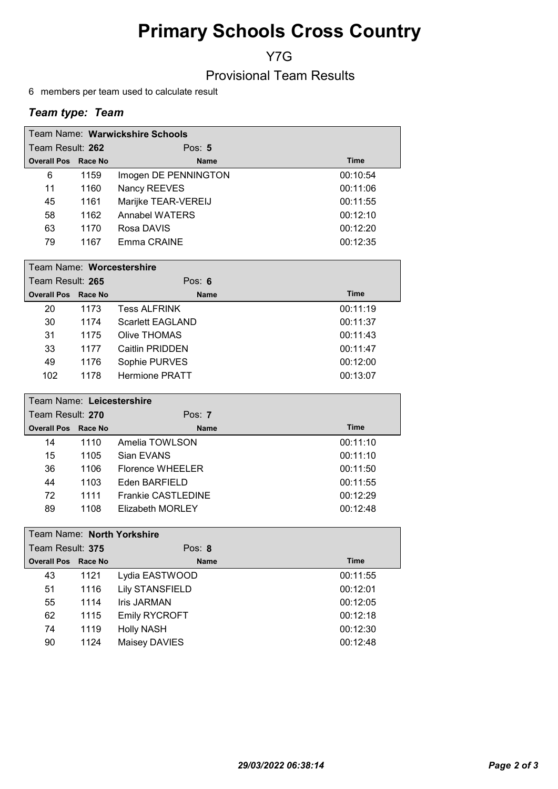# Primary Schools Cross Country

Y7G

### Provisional Team Results

6 members per team used to calculate result

### Team type: Team

| Team Name: Warwickshire Schools |      |                      |             |  |
|---------------------------------|------|----------------------|-------------|--|
| Team Result: 262                |      | Pos: $5$             |             |  |
| <b>Overall Pos Race No</b>      |      | <b>Name</b>          | <b>Time</b> |  |
| 6                               | 1159 | Imogen DE PENNINGTON | 00:10:54    |  |
| 11                              | 1160 | Nancy REEVES         | 00:11:06    |  |
| 45                              | 1161 | Marijke TEAR-VEREIJ  | 00:11:55    |  |
| 58                              | 1162 | Annabel WATERS       | 00:12:10    |  |
| 63                              | 1170 | Rosa DAVIS           | 00:12:20    |  |
| 79                              | 1167 | Emma CRAINE          | 00:12:35    |  |

| Team Name: Worcestershire  |      |                         |             |  |
|----------------------------|------|-------------------------|-------------|--|
| Team Result: 265           |      | Pos: $6$                |             |  |
| <b>Overall Pos Race No</b> |      | <b>Name</b>             | <b>Time</b> |  |
| 20                         | 1173 | <b>Tess ALFRINK</b>     | 00:11:19    |  |
| 30                         | 1174 | <b>Scarlett EAGLAND</b> | 00:11:37    |  |
| 31                         | 1175 | Olive THOMAS            | 00:11:43    |  |
| 33                         | 1177 | Caitlin PRIDDEN         | 00:11:47    |  |
| 49                         | 1176 | Sophie PURVES           | 00:12:00    |  |
| 102                        | 1178 | <b>Hermione PRATT</b>   | 00:13:07    |  |

| Team Name: Leicestershire  |      |                           |             |  |
|----------------------------|------|---------------------------|-------------|--|
| Team Result: 270           |      | Pos: $7$                  |             |  |
| <b>Overall Pos Race No</b> |      | <b>Name</b>               | <b>Time</b> |  |
| 14                         | 1110 | Amelia TOWLSON            | 00:11:10    |  |
| 15                         | 1105 | Sian EVANS                | 00:11:10    |  |
| 36                         | 1106 | Florence WHEELER          | 00:11:50    |  |
| 44                         | 1103 | Eden BARFIELD             | 00:11:55    |  |
| 72                         | 1111 | <b>Frankie CASTLEDINE</b> | 00:12:29    |  |
| 89                         | 1108 | Elizabeth MORLEY          | 00:12:48    |  |

| Team Name: North Yorkshire |         |                        |             |  |
|----------------------------|---------|------------------------|-------------|--|
| Team Result: 375           |         | Pos: $8$               |             |  |
| <b>Overall Pos</b>         | Race No | <b>Name</b>            | <b>Time</b> |  |
| 43                         | 1121    | Lydia EASTWOOD         | 00:11:55    |  |
| 51                         | 1116    | <b>Lily STANSFIELD</b> | 00:12:01    |  |
| 55                         | 1114    | Iris JARMAN            | 00:12:05    |  |
| 62                         | 1115    | <b>Emily RYCROFT</b>   | 00:12:18    |  |
| 74                         | 1119    | <b>Holly NASH</b>      | 00:12:30    |  |
| 90                         | 1124    | Maisey DAVIES          | 00:12:48    |  |
|                            |         |                        |             |  |